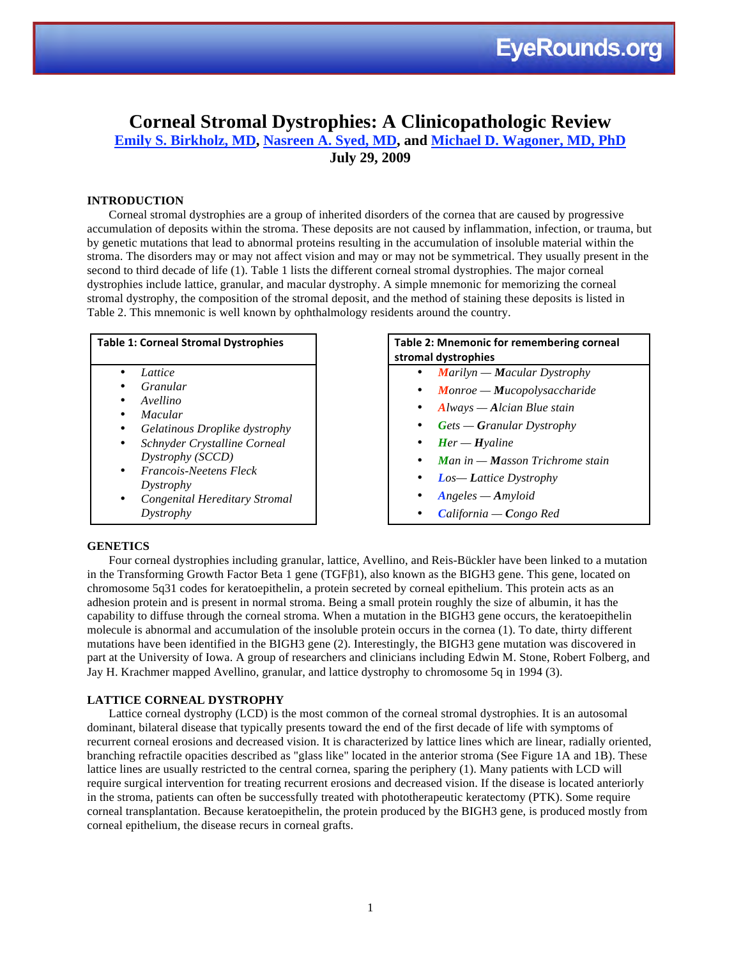### **Corneal Stromal Dystrophies: A Clinicopathologic Review**

**Emily S. Birkholz, MD, Nasreen A. Syed, MD, and Michael D. Wagoner, MD, PhD July 29, 2009**

#### **INTRODUCTION**

Corneal stromal dystrophies are a group of inherited disorders of the cornea that are caused by progressive accumulation of deposits within the stroma. These deposits are not caused by inflammation, infection, or trauma, but by genetic mutations that lead to abnormal proteins resulting in the accumulation of insoluble material within the stroma. The disorders may or may not affect vision and may or may not be symmetrical. They usually present in the second to third decade of life (1). Table 1 lists the different corneal stromal dystrophies. The major corneal dystrophies include lattice, granular, and macular dystrophy. A simple mnemonic for memorizing the corneal stromal dystrophy, the composition of the stromal deposit, and the method of staining these deposits is listed in Table 2. This mnemonic is well known by ophthalmology residents around the country.

| <b>Table 1: Corneal Stromal Dystrophies</b> |                               |  |
|---------------------------------------------|-------------------------------|--|
|                                             | Lattice                       |  |
|                                             | Granular                      |  |
|                                             | Avellino                      |  |
|                                             | Macular                       |  |
|                                             | Gelatinous Droplike dystrophy |  |
|                                             | Schnyder Crystalline Corneal  |  |
|                                             | Dystrophy (SCCD)              |  |
|                                             | Francois-Neetens Fleck        |  |
|                                             | Dystrophy                     |  |
|                                             | Congenital Hereditary Stromal |  |
|                                             | Dystrophy                     |  |

#### Table 2: Mnemonic for remembering corneal **stromal
dystrophies**

- *Marilyn — Macular Dystrophy*
- *Monroe — Mucopolysaccharide*
- *Always — Alcian Blue stain*
- *Gets — Granular Dystrophy*
- *Her — Hyaline*
- *Man in — Masson Trichrome stain*
- *Los— Lattice Dystrophy*
- *Angeles — Amyloid*
- *California — Congo Red*

#### **GENETICS**

Four corneal dystrophies including granular, lattice, Avellino, and Reis-Bückler have been linked to a mutation in the Transforming Growth Factor Beta 1 gene (TGFβ1), also known as the BIGH3 gene. This gene, located on chromosome 5q31 codes for keratoepithelin, a protein secreted by corneal epithelium. This protein acts as an adhesion protein and is present in normal stroma. Being a small protein roughly the size of albumin, it has the capability to diffuse through the corneal stroma. When a mutation in the BIGH3 gene occurs, the keratoepithelin molecule is abnormal and accumulation of the insoluble protein occurs in the cornea (1). To date, thirty different mutations have been identified in the BIGH3 gene (2). Interestingly, the BIGH3 gene mutation was discovered in part at the University of Iowa. A group of researchers and clinicians including Edwin M. Stone, Robert Folberg, and Jay H. Krachmer mapped Avellino, granular, and lattice dystrophy to chromosome 5q in 1994 (3).

#### **LATTICE CORNEAL DYSTROPHY**

Lattice corneal dystrophy (LCD) is the most common of the corneal stromal dystrophies. It is an autosomal dominant, bilateral disease that typically presents toward the end of the first decade of life with symptoms of recurrent corneal erosions and decreased vision. It is characterized by lattice lines which are linear, radially oriented, branching refractile opacities described as "glass like" located in the anterior stroma (See Figure 1A and 1B). These lattice lines are usually restricted to the central cornea, sparing the periphery (1). Many patients with LCD will require surgical intervention for treating recurrent erosions and decreased vision. If the disease is located anteriorly in the stroma, patients can often be successfully treated with phototherapeutic keratectomy (PTK). Some require corneal transplantation. Because keratoepithelin, the protein produced by the BIGH3 gene, is produced mostly from corneal epithelium, the disease recurs in corneal grafts.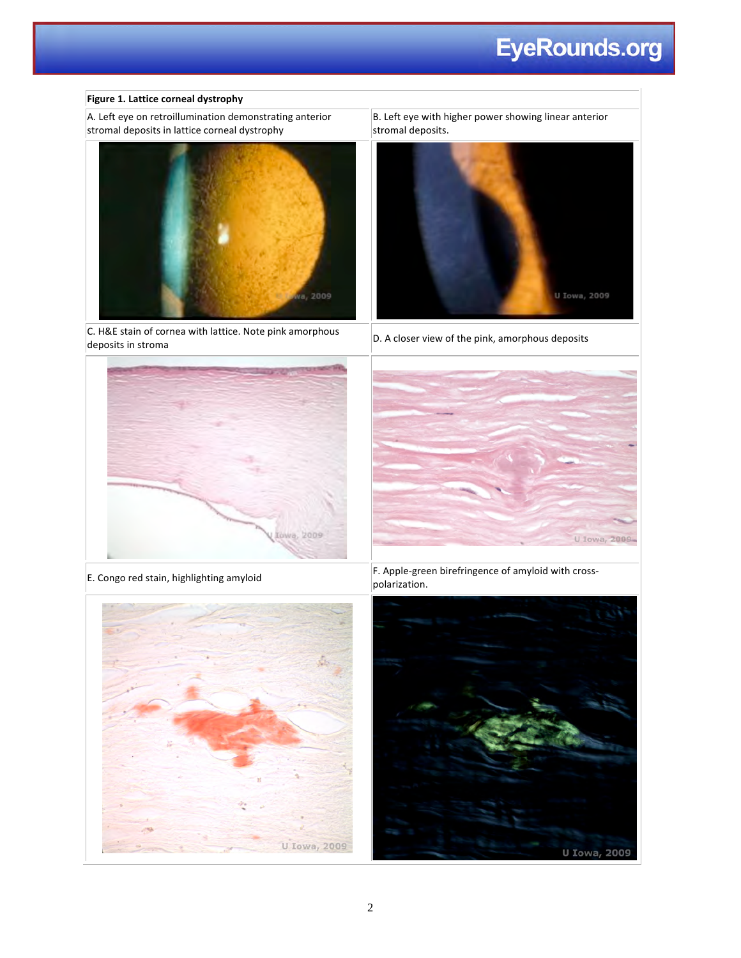## **EyeRounds.org**

#### **Figure
1.
Lattice
corneal
dystrophy**

A.
Left
eye
on
retroillumination
demonstrating
anterior stromal deposits in lattice corneal dystrophy



 $|C|$ . H&E stain of cornea with lattice. Note pink amorphous c. H&E stain of cornea with lattice. Note pink amorphous<br>deposits in stroma deposits





B.
Left
eye
with
higher
power
showing
linear
anterior





E.
Congo
red
stain,
highlighting
amyloid F.
Apple‐green
birefringence
of
amyloid
with
cross‐ polarization.

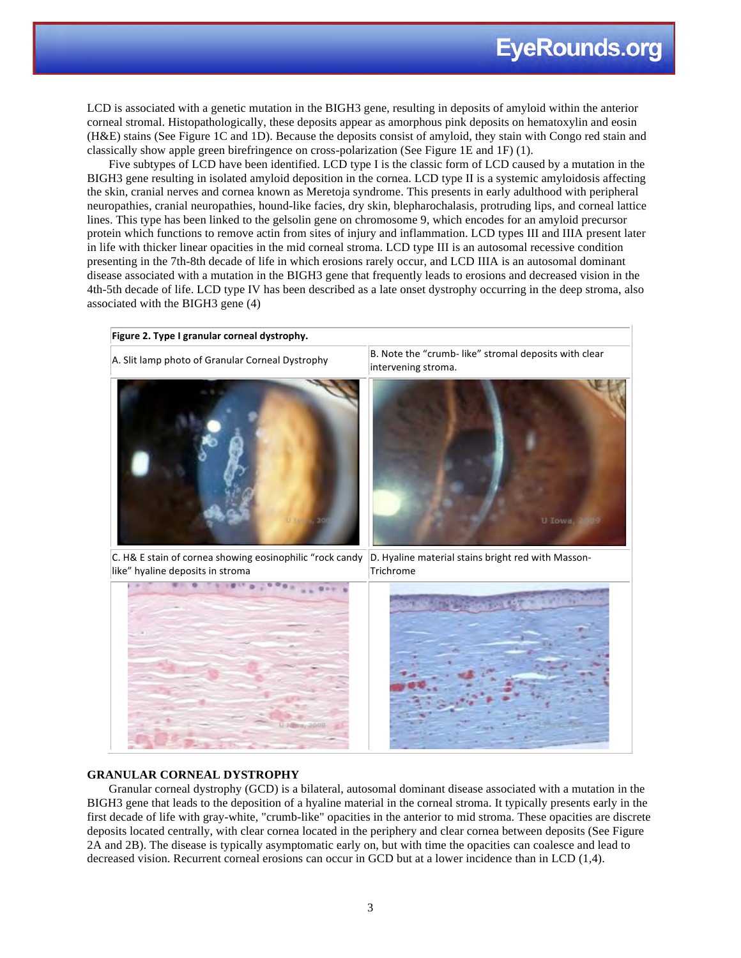LCD is associated with a genetic mutation in the BIGH3 gene, resulting in deposits of amyloid within the anterior corneal stromal. Histopathologically, these deposits appear as amorphous pink deposits on hematoxylin and eosin (H&E) stains (See Figure 1C and 1D). Because the deposits consist of amyloid, they stain with Congo red stain and classically show apple green birefringence on cross-polarization (See Figure 1E and 1F) (1).

Five subtypes of LCD have been identified. LCD type I is the classic form of LCD caused by a mutation in the BIGH3 gene resulting in isolated amyloid deposition in the cornea. LCD type II is a systemic amyloidosis affecting the skin, cranial nerves and cornea known as Meretoja syndrome. This presents in early adulthood with peripheral neuropathies, cranial neuropathies, hound-like facies, dry skin, blepharochalasis, protruding lips, and corneal lattice lines. This type has been linked to the gelsolin gene on chromosome 9, which encodes for an amyloid precursor protein which functions to remove actin from sites of injury and inflammation. LCD types III and IIIA present later in life with thicker linear opacities in the mid corneal stroma. LCD type III is an autosomal recessive condition presenting in the 7th-8th decade of life in which erosions rarely occur, and LCD IIIA is an autosomal dominant disease associated with a mutation in the BIGH3 gene that frequently leads to erosions and decreased vision in the 4th-5th decade of life. LCD type IV has been described as a late onset dystrophy occurring in the deep stroma, also associated with the BIGH3 gene (4)



#### **GRANULAR CORNEAL DYSTROPHY**

Granular corneal dystrophy (GCD) is a bilateral, autosomal dominant disease associated with a mutation in the BIGH3 gene that leads to the deposition of a hyaline material in the corneal stroma. It typically presents early in the first decade of life with gray-white, "crumb-like" opacities in the anterior to mid stroma. These opacities are discrete deposits located centrally, with clear cornea located in the periphery and clear cornea between deposits (See Figure 2A and 2B). The disease is typically asymptomatic early on, but with time the opacities can coalesce and lead to decreased vision. Recurrent corneal erosions can occur in GCD but at a lower incidence than in LCD (1,4).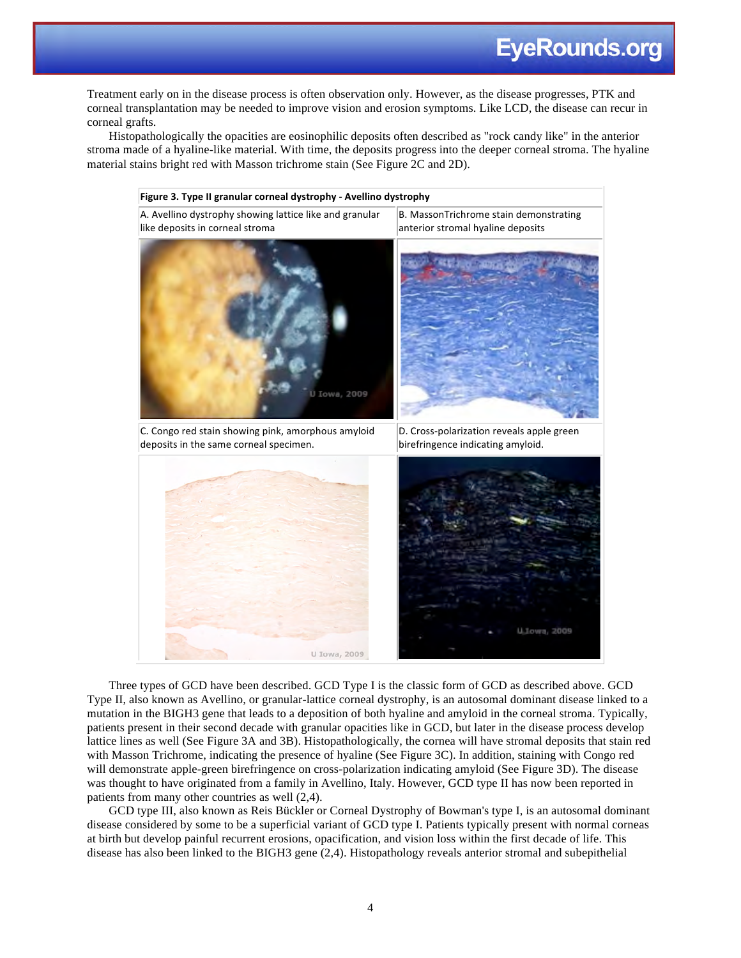Treatment early on in the disease process is often observation only. However, as the disease progresses, PTK and corneal transplantation may be needed to improve vision and erosion symptoms. Like LCD, the disease can recur in corneal grafts.

Histopathologically the opacities are eosinophilic deposits often described as "rock candy like" in the anterior stroma made of a hyaline-like material. With time, the deposits progress into the deeper corneal stroma. The hyaline material stains bright red with Masson trichrome stain (See Figure 2C and 2D).



Three types of GCD have been described. GCD Type I is the classic form of GCD as described above. GCD Type II, also known as Avellino, or granular-lattice corneal dystrophy, is an autosomal dominant disease linked to a mutation in the BIGH3 gene that leads to a deposition of both hyaline and amyloid in the corneal stroma. Typically, patients present in their second decade with granular opacities like in GCD, but later in the disease process develop lattice lines as well (See Figure 3A and 3B). Histopathologically, the cornea will have stromal deposits that stain red with Masson Trichrome, indicating the presence of hyaline (See Figure 3C). In addition, staining with Congo red will demonstrate apple-green birefringence on cross-polarization indicating amyloid (See Figure 3D). The disease was thought to have originated from a family in Avellino, Italy. However, GCD type II has now been reported in patients from many other countries as well (2,4).

GCD type III, also known as Reis Bückler or Corneal Dystrophy of Bowman's type I, is an autosomal dominant disease considered by some to be a superficial variant of GCD type I. Patients typically present with normal corneas at birth but develop painful recurrent erosions, opacification, and vision loss within the first decade of life. This disease has also been linked to the BIGH3 gene (2,4). Histopathology reveals anterior stromal and subepithelial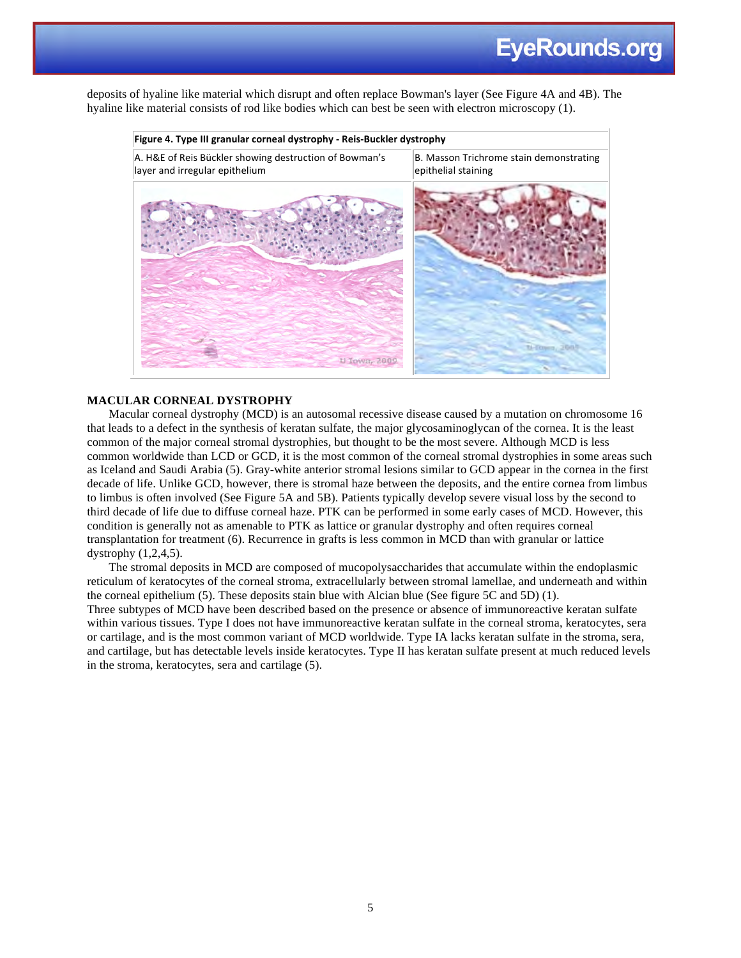deposits of hyaline like material which disrupt and often replace Bowman's layer (See Figure 4A and 4B). The hyaline like material consists of rod like bodies which can best be seen with electron microscopy (1).



#### **MACULAR CORNEAL DYSTROPHY**

Macular corneal dystrophy (MCD) is an autosomal recessive disease caused by a mutation on chromosome 16 that leads to a defect in the synthesis of keratan sulfate, the major glycosaminoglycan of the cornea. It is the least common of the major corneal stromal dystrophies, but thought to be the most severe. Although MCD is less common worldwide than LCD or GCD, it is the most common of the corneal stromal dystrophies in some areas such as Iceland and Saudi Arabia (5). Gray-white anterior stromal lesions similar to GCD appear in the cornea in the first decade of life. Unlike GCD, however, there is stromal haze between the deposits, and the entire cornea from limbus to limbus is often involved (See Figure 5A and 5B). Patients typically develop severe visual loss by the second to third decade of life due to diffuse corneal haze. PTK can be performed in some early cases of MCD. However, this condition is generally not as amenable to PTK as lattice or granular dystrophy and often requires corneal transplantation for treatment (6). Recurrence in grafts is less common in MCD than with granular or lattice dystrophy (1,2,4,5).

The stromal deposits in MCD are composed of mucopolysaccharides that accumulate within the endoplasmic reticulum of keratocytes of the corneal stroma, extracellularly between stromal lamellae, and underneath and within the corneal epithelium (5). These deposits stain blue with Alcian blue (See figure 5C and 5D) (1). Three subtypes of MCD have been described based on the presence or absence of immunoreactive keratan sulfate within various tissues. Type I does not have immunoreactive keratan sulfate in the corneal stroma, keratocytes, sera or cartilage, and is the most common variant of MCD worldwide. Type IA lacks keratan sulfate in the stroma, sera, and cartilage, but has detectable levels inside keratocytes. Type II has keratan sulfate present at much reduced levels in the stroma, keratocytes, sera and cartilage (5).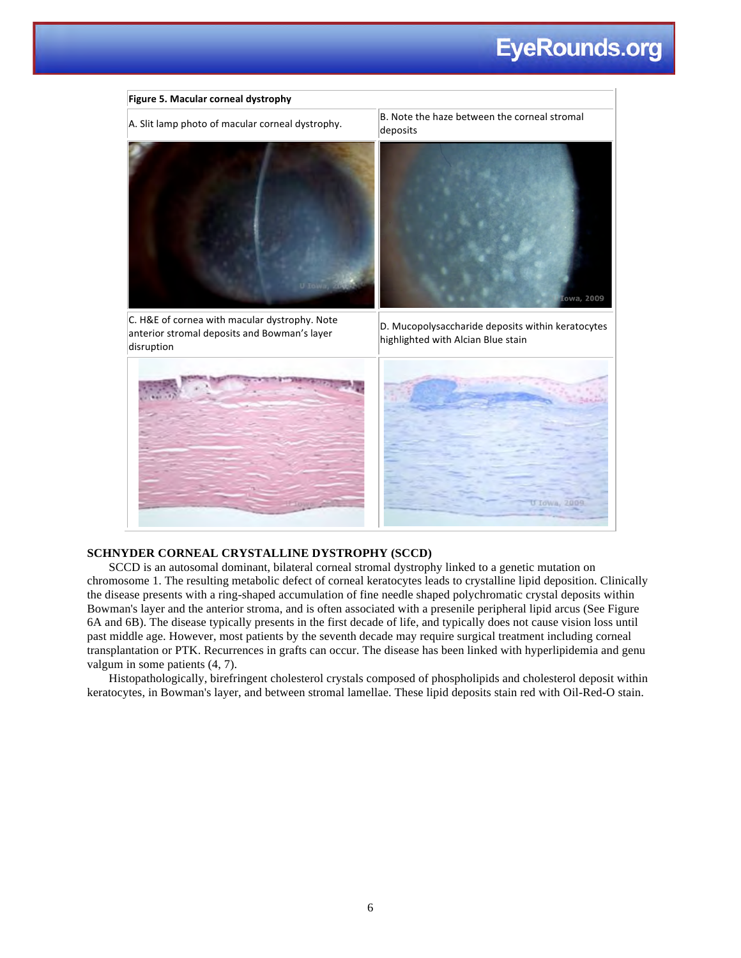

#### **SCHNYDER CORNEAL CRYSTALLINE DYSTROPHY (SCCD)**

SCCD is an autosomal dominant, bilateral corneal stromal dystrophy linked to a genetic mutation on chromosome 1. The resulting metabolic defect of corneal keratocytes leads to crystalline lipid deposition. Clinically the disease presents with a ring-shaped accumulation of fine needle shaped polychromatic crystal deposits within Bowman's layer and the anterior stroma, and is often associated with a presenile peripheral lipid arcus (See Figure 6A and 6B). The disease typically presents in the first decade of life, and typically does not cause vision loss until past middle age. However, most patients by the seventh decade may require surgical treatment including corneal transplantation or PTK. Recurrences in grafts can occur. The disease has been linked with hyperlipidemia and genu valgum in some patients (4, 7).

Histopathologically, birefringent cholesterol crystals composed of phospholipids and cholesterol deposit within keratocytes, in Bowman's layer, and between stromal lamellae. These lipid deposits stain red with Oil-Red-O stain.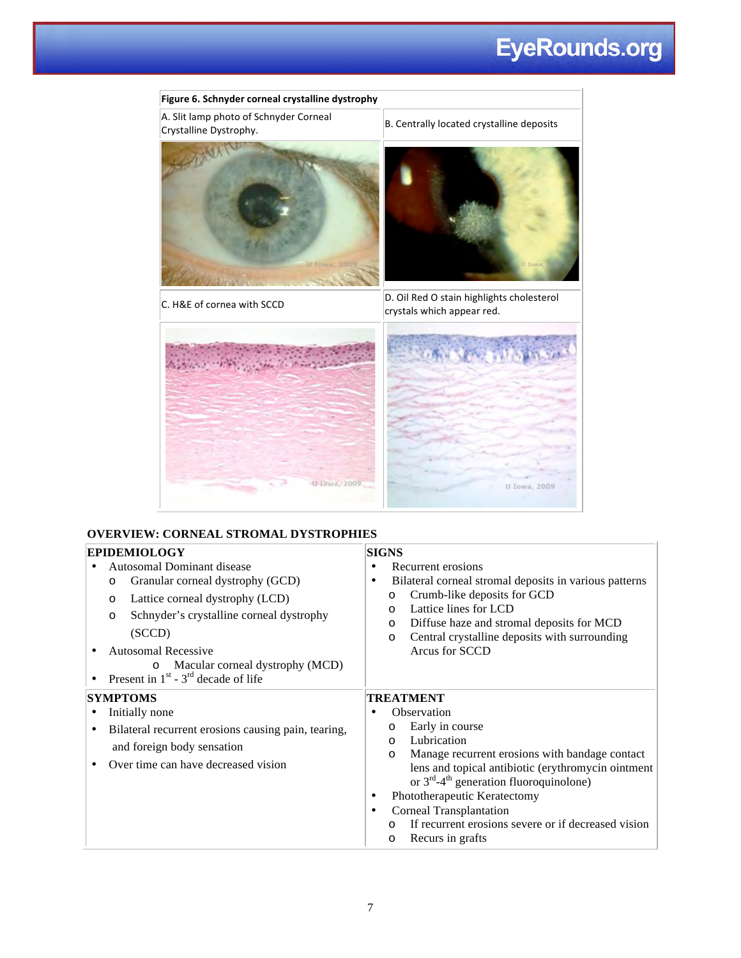# **EyeRounds.org**



#### **OVERVIEW: CORNEAL STROMAL DYSTROPHIES**

| <b>EPIDEMIOLOGY</b>                                                                                                                                                                                                                                                                                             | <b>SIGNS</b>                                                                                                                                                                                                                                                                                                                                                                                                                                                  |  |  |
|-----------------------------------------------------------------------------------------------------------------------------------------------------------------------------------------------------------------------------------------------------------------------------------------------------------------|---------------------------------------------------------------------------------------------------------------------------------------------------------------------------------------------------------------------------------------------------------------------------------------------------------------------------------------------------------------------------------------------------------------------------------------------------------------|--|--|
| Autosomal Dominant disease<br>Granular corneal dystrophy (GCD)<br>$\circ$<br>Lattice corneal dystrophy (LCD)<br>$\circ$<br>Schnyder's crystalline corneal dystrophy<br>$\circ$<br>(SCCD)<br><b>Autosomal Recessive</b><br>Macular corneal dystrophy (MCD)<br>$\circ$<br>Present in $1st$ - $3rd$ decade of life | Recurrent erosions<br>$\bullet$<br>Bilateral corneal stromal deposits in various patterns<br>$\bullet$<br>Crumb-like deposits for GCD<br>$\circ$<br>Lattice lines for LCD<br>$\circ$<br>Diffuse haze and stromal deposits for MCD<br>$\circ$<br>Central crystalline deposits with surrounding<br>$\circ$<br>Arcus for SCCD                                                                                                                                    |  |  |
| <b>SYMPTOMS</b><br>Initially none<br>Bilateral recurrent erosions causing pain, tearing,<br>and foreign body sensation<br>Over time can have decreased vision                                                                                                                                                   | TREATMENT<br>Observation<br>$\bullet$<br>Early in course<br>$\circ$<br>Lubrication<br>$\circ$<br>Manage recurrent erosions with bandage contact<br>$\circ$<br>lens and topical antibiotic (erythromycin ointment<br>or $3^{rd}$ -4 <sup>th</sup> generation fluoroquinolone)<br>Phototherapeutic Keratectomy<br>$\bullet$<br>Corneal Transplantation<br>$\bullet$<br>If recurrent erosions severe or if decreased vision<br>$\Omega$<br>Recurs in grafts<br>O |  |  |